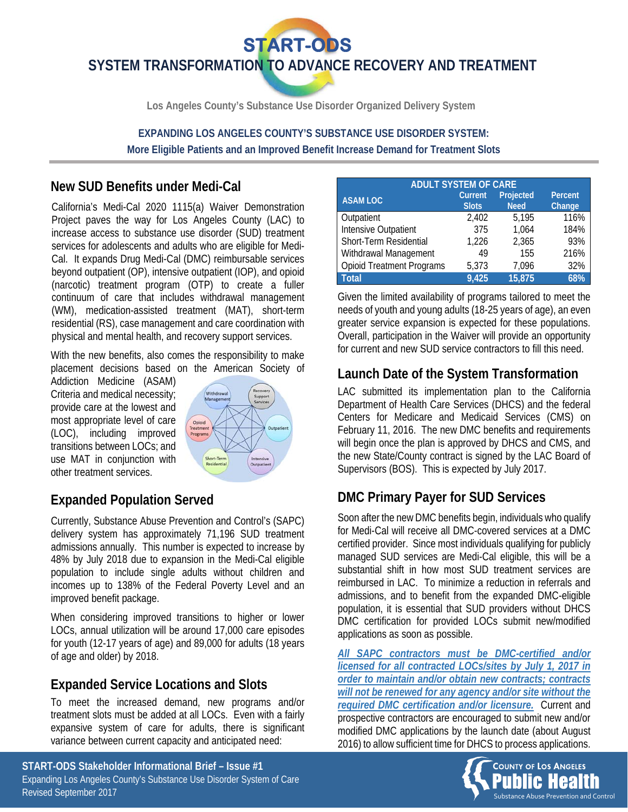**START-ODS** 

**SYSTEM TRANSFORMATION TO ADVANCE RECOVERY AND TREATMENT** 

**Los Angeles County's Substance Use Disorder Organized Delivery System** 

**EXPANDING LOS ANGELES COUNTY'S SUBSTANCE USE DISORDER SYSTEM: More Eligible Patients and an Improved Benefit Increase Demand for Treatment Slots** 

### **New SUD Benefits under Medi-Cal**

California's Medi-Cal 2020 1115(a) Waiver Demonstration Project paves the way for Los Angeles County (LAC) to increase access to substance use disorder (SUD) treatment services for adolescents and adults who are eligible for Medi-Cal. It expands Drug Medi-Cal (DMC) reimbursable services beyond outpatient (OP), intensive outpatient (IOP), and opioid (narcotic) treatment program (OTP) to create a fuller continuum of care that includes withdrawal management (WM), medication-assisted treatment (MAT), short-term residential (RS), case management and care coordination with physical and mental health, and recovery support services.

With the new benefits, also comes the responsibility to make placement decisions based on the American Society of

Addiction Medicine (ASAM) Criteria and medical necessity; provide care at the lowest and most appropriate level of care (LOC), including improved transitions between LOCs; and use MAT in conjunction with other treatment services.



# **Expanded Population Served**

Currently, Substance Abuse Prevention and Control's (SAPC) delivery system has approximately 71,196 SUD treatment admissions annually. This number is expected to increase by 48% by July 2018 due to expansion in the Medi-Cal eligible population to include single adults without children and incomes up to 138% of the Federal Poverty Level and an improved benefit package.

When considering improved transitions to higher or lower LOCs, annual utilization will be around 17,000 care episodes for youth (12-17 years of age) and 89,000 for adults (18 years of age and older) by 2018.

## **Expanded Service Locations and Slots**

To meet the increased demand, new programs and/or treatment slots must be added at all LOCs. Even with a fairly expansive system of care for adults, there is significant variance between current capacity and anticipated need:

| <b>ADULT SYSTEM OF CARE</b>      |                                |                          |                   |  |  |  |  |  |
|----------------------------------|--------------------------------|--------------------------|-------------------|--|--|--|--|--|
| <b>ASAM LOC</b>                  | <b>Current</b><br><b>Slots</b> | Projected<br><b>Need</b> | Percent<br>Change |  |  |  |  |  |
|                                  |                                |                          |                   |  |  |  |  |  |
| Outpatient                       | 2.402                          | 5.195                    | 116%              |  |  |  |  |  |
| Intensive Outpatient             | 375                            | 1,064                    | 184%              |  |  |  |  |  |
| Short-Term Residential           | 1.226                          | 2,365                    | 93%               |  |  |  |  |  |
| Withdrawal Management            | 49                             | 155                      | 216%              |  |  |  |  |  |
| <b>Opioid Treatment Programs</b> | 5.373                          | 7.096                    | 32%               |  |  |  |  |  |
| <b>Total</b>                     | 9,425                          | 15,875                   | 68%               |  |  |  |  |  |

Given the limited availability of programs tailored to meet the needs of youth and young adults (18-25 years of age), an even greater service expansion is expected for these populations. Overall, participation in the Waiver will provide an opportunity for current and new SUD service contractors to fill this need.

## **Launch Date of the System Transformation**

LAC submitted its implementation plan to the California Department of Health Care Services (DHCS) and the federal Centers for Medicare and Medicaid Services (CMS) on February 11, 2016. The new DMC benefits and requirements will begin once the plan is approved by DHCS and CMS, and the new State/County contract is signed by the LAC Board of Supervisors (BOS). This is expected by July 2017.

## **DMC Primary Payer for SUD Services**

Soon after the new DMC benefits begin, individuals who qualify for Medi-Cal will receive all DMC-covered services at a DMC certified provider. Since most individuals qualifying for publicly managed SUD services are Medi-Cal eligible, this will be a substantial shift in how most SUD treatment services are reimbursed in LAC. To minimize a reduction in referrals and admissions, and to benefit from the expanded DMC-eligible population, it is essential that SUD providers without DHCS DMC certification for provided LOCs submit new/modified applications as soon as possible.

*All SAPC contractors must be DMC-certified and/or licensed for all contracted LOCs/sites by July 1, 2017 in order to maintain and/or obtain new contracts; contracts will not be renewed for any agency and/or site without the required DMC certification and/or licensure.* Current and prospective contractors are encouraged to submit new and/or modified DMC applications by the launch date (about August 2016) to allow sufficient time for DHCS to process applications.